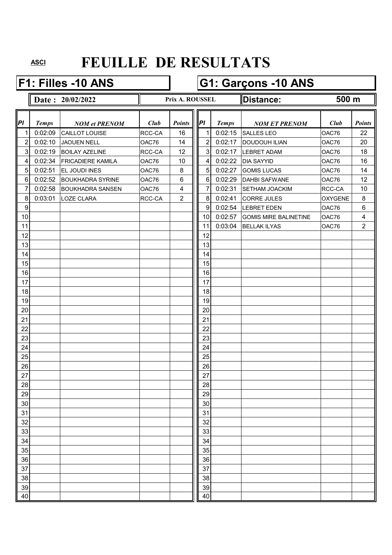#### **F1: Filles -10 ANS G1: Garçons -10 ANS**

- **Date: 20/02/2022 Prix A. ROUSSEL Distance:** 
	- **Prix A. ROUSSEL**

**500 m**

| PI               | <b>Temps</b> |                                        | Club   | <b>Points</b>           | P               | <b>Temps</b> |                                           | Club           | <b>Points</b>  |
|------------------|--------------|----------------------------------------|--------|-------------------------|-----------------|--------------|-------------------------------------------|----------------|----------------|
| 1                | 0:02:09      | <b>NOM et PRENOM</b><br>CAILLOT LOUISE | RCC-CA | 16                      | 1               | 0:02:15      | <b>NOM ET PRENOM</b><br><b>SALLES LEO</b> | OAC76          | 22             |
| $\overline{c}$   | 0:02:10      | <b>JAOUEN NELL</b>                     | OAC76  | 14                      | $\overline{2}$  | 0:02:17      | <b>DOUDOUH ILIAN</b>                      | OAC76          | 20             |
| $\mathbf{3}$     | 0:02:19      | <b>BOILAY AZELINE</b>                  | RCC-CA | 12                      | 3 <sup>1</sup>  | 0:02:17      | <b>LEBRET ADAM</b>                        | OAC76          | 18             |
| 4                | 0:02:34      | <b>FRICADIERE KAMILA</b>               | OAC76  | 10                      | $\overline{4}$  | 0:02:22      | <b>DIA SAYYID</b>                         | OAC76          | 16             |
| $\overline{5}$   | 0:02:51      | <b>EL JOUDI INES</b>                   | OAC76  | 8                       | 5 <sup>1</sup>  | 0:02:27      | <b>GOMIS LUCAS</b>                        | OAC76          | 14             |
| $\,6\,$          | 0:02:52      | <b>BOUKHADRA SYRINE</b>                | OAC76  | $\,6\,$                 | 6               | 0:02:29      | <b>DAHBI SAFWANE</b>                      | OAC76          | 12             |
| $\overline{7}$   | 0:02:58      | <b>BOUKHADRA SANSEN</b>                | OAC76  | $\overline{\mathbf{4}}$ | $\overline{7}$  | 0:02:31      | <b>SETHAM JOACKIM</b>                     | RCC-CA         | 10             |
| $\bf 8$          | 0:03:01      | <b>LOZE CLARA</b>                      | RCC-CA | $\overline{2}$          | 8 <sup>1</sup>  | 0:02:41      | <b>CORRE JULES</b>                        | <b>OXYGENE</b> | 8              |
| $\boldsymbol{9}$ |              |                                        |        |                         | 9               | 0:02:54      | <b>LEBRET EDEN</b>                        | OAC76          | 6              |
| 10               |              |                                        |        |                         | 10              | 0:02:57      | <b>GOMIS MIRE BALINETINE</b>              | OAC76          | 4              |
| 11               |              |                                        |        |                         | 11              | 0:03:04      | <b>BELLAK ILYAS</b>                       | OAC76          | $\overline{2}$ |
| 12               |              |                                        |        |                         | 12              |              |                                           |                |                |
| 13               |              |                                        |        |                         | 13              |              |                                           |                |                |
| 14               |              |                                        |        |                         | 14              |              |                                           |                |                |
| 15               |              |                                        |        |                         | 15              |              |                                           |                |                |
| 16               |              |                                        |        |                         | 16              |              |                                           |                |                |
| 17               |              |                                        |        |                         | 17              |              |                                           |                |                |
| 18               |              |                                        |        |                         | 18              |              |                                           |                |                |
| 19               |              |                                        |        |                         | 19              |              |                                           |                |                |
| 20               |              |                                        |        |                         | 20              |              |                                           |                |                |
| 21               |              |                                        |        |                         | 21              |              |                                           |                |                |
| 22               |              |                                        |        |                         | 22              |              |                                           |                |                |
| 23               |              |                                        |        |                         | 23              |              |                                           |                |                |
| 24               |              |                                        |        |                         | 24              |              |                                           |                |                |
| 25               |              |                                        |        |                         | 25              |              |                                           |                |                |
| 26               |              |                                        |        |                         | 26              |              |                                           |                |                |
| 27               |              |                                        |        |                         | 27              |              |                                           |                |                |
| 28               |              |                                        |        |                         | 28              |              |                                           |                |                |
| 29               |              |                                        |        |                         | 29              |              |                                           |                |                |
| 30               |              |                                        |        |                         | 30 <sub>o</sub> |              |                                           |                |                |
| 31               |              |                                        |        |                         | 31              |              |                                           |                |                |
| 32               |              |                                        |        |                         | 32              |              |                                           |                |                |
| 33               |              |                                        |        |                         | 33              |              |                                           |                |                |
| 34               |              |                                        |        |                         | 34              |              |                                           |                |                |
| 35               |              |                                        |        |                         | 35              |              |                                           |                |                |
| 36               |              |                                        |        |                         | 36              |              |                                           |                |                |
| 37               |              |                                        |        |                         | 37              |              |                                           |                |                |
| 38               |              |                                        |        |                         | 38              |              |                                           |                |                |
| 39               |              |                                        |        |                         | 39              |              |                                           |                |                |
| 40               |              |                                        |        |                         | 40              |              |                                           |                |                |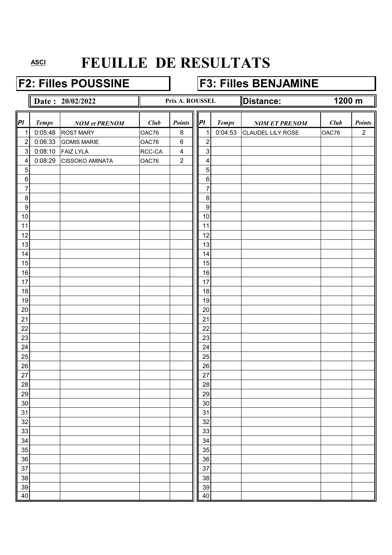### **F2: Filles POUSSINE F3: Filles BENJAMINE**

|                  |              | Date: 20/02/2022       |        | Prix A. ROUSSEL         |                  |              | Distance:            | $\overline{1200}$ m |                |
|------------------|--------------|------------------------|--------|-------------------------|------------------|--------------|----------------------|---------------------|----------------|
| PI               | <b>Temps</b> | <b>NOM</b> et PRENOM   | Club   | Points                  | PI               | <b>Temps</b> | <b>NOM ET PRENOM</b> | Club                | <b>Points</b>  |
| 1                | 0:05:48      | <b>ROST MARY</b>       | OAC76  | 8                       | 1                | 0:04:53      | CLAUDEL LILY ROSE    | OAC76               | $\overline{2}$ |
| $\boldsymbol{2}$ | 0:06:33      | <b>GOMIS MARIE</b>     | OAC76  | $\,6$                   | $\overline{c}$   |              |                      |                     |                |
| $\mathsf 3$      | 0:08:10      | <b>FAIZ LYLA</b>       | RCC-CA | $\overline{\mathbf{4}}$ | $\sqrt{3}$       |              |                      |                     |                |
| 4                | 0:08:29      | <b>CISSOKO AMINATA</b> | OAC76  | $\overline{2}$          | 4                |              |                      |                     |                |
| $\overline{5}$   |              |                        |        |                         | $\mathbf 5$      |              |                      |                     |                |
| $\,6\,$          |              |                        |        |                         | $\,6$            |              |                      |                     |                |
| 7                |              |                        |        |                         | $\overline{7}$   |              |                      |                     |                |
| 8                |              |                        |        |                         | 8                |              |                      |                     |                |
| $\overline{9}$   |              |                        |        |                         | $\boldsymbol{9}$ |              |                      |                     |                |
| 10               |              |                        |        |                         | 10               |              |                      |                     |                |
| 11               |              |                        |        |                         | 11               |              |                      |                     |                |
| 12               |              |                        |        |                         | 12               |              |                      |                     |                |
| 13               |              |                        |        |                         | 13               |              |                      |                     |                |
| 14               |              |                        |        |                         | 14               |              |                      |                     |                |
| 15<br>16         |              |                        |        |                         | 15<br>16         |              |                      |                     |                |
| 17               |              |                        |        |                         | 17               |              |                      |                     |                |
| 18               |              |                        |        |                         | 18               |              |                      |                     |                |
| 19               |              |                        |        |                         | 19               |              |                      |                     |                |
| 20               |              |                        |        |                         | 20               |              |                      |                     |                |
| 21               |              |                        |        |                         | 21               |              |                      |                     |                |
| 22               |              |                        |        |                         | 22               |              |                      |                     |                |
| 23               |              |                        |        |                         | 23               |              |                      |                     |                |
| 24               |              |                        |        |                         | 24               |              |                      |                     |                |
| 25               |              |                        |        |                         | 25               |              |                      |                     |                |
| 26               |              |                        |        |                         | 26               |              |                      |                     |                |
| 27               |              |                        |        |                         | 27               |              |                      |                     |                |
| 28               |              |                        |        |                         | 28               |              |                      |                     |                |
| 29               |              |                        |        |                         | 29               |              |                      |                     |                |
| 30               |              |                        |        |                         | 30               |              |                      |                     |                |
| 31               |              |                        |        |                         | 31               |              |                      |                     |                |
| 32               |              |                        |        |                         | 32               |              |                      |                     |                |
| 33               |              |                        |        |                         | 33               |              |                      |                     |                |
| 34               |              |                        |        |                         | 34               |              |                      |                     |                |
| 35               |              |                        |        |                         | 35               |              |                      |                     |                |
| 36               |              |                        |        |                         | 36               |              |                      |                     |                |
| 37               |              |                        |        |                         | 37               |              |                      |                     |                |
| 38               |              |                        |        |                         | 38               |              |                      |                     |                |
| 39<br>40         |              |                        |        |                         | 39<br>40         |              |                      |                     |                |
|                  |              |                        |        |                         |                  |              |                      |                     |                |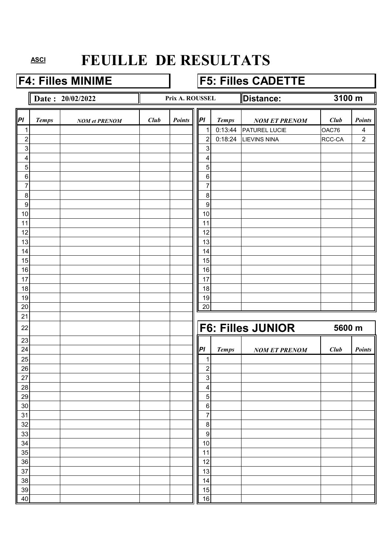#### **F4: Filles MINIME F5: Filles CADETTE**

**Date : 20/02/2022 Distance: Distance:** 

#### **Prix A. ROUSSEL**

**3100 m**

| $\vert$ Pl              | <b>Temps</b> | <b>NOM</b> et PRENOM | Club | <b>Points</b> | PI                        | <b>Temps</b> | <b>NOM ET PRENOM</b>     | Club   | <b>Points</b>  |
|-------------------------|--------------|----------------------|------|---------------|---------------------------|--------------|--------------------------|--------|----------------|
| 1                       |              |                      |      |               | 1                         | 0:13:44      | PATUREL LUCIE            | OAC76  | 4              |
| $\overline{c}$          |              |                      |      |               | $\overline{2}$            | 0:18:24      | <b>LIEVINS NINA</b>      | RCC-CA | $\overline{2}$ |
| $\mathsf 3$             |              |                      |      |               | $\mathbf 3$               |              |                          |        |                |
| $\overline{\mathbf{4}}$ |              |                      |      |               | 4                         |              |                          |        |                |
| $\overline{5}$          |              |                      |      |               | 5                         |              |                          |        |                |
| $\,6\,$                 |              |                      |      |               | $\,6\,$                   |              |                          |        |                |
| $\boldsymbol{7}$        |              |                      |      |               | 7                         |              |                          |        |                |
| $\,8\,$                 |              |                      |      |               | $\, 8$                    |              |                          |        |                |
| $\boldsymbol{9}$        |              |                      |      |               | $\boldsymbol{9}$          |              |                          |        |                |
| 10                      |              |                      |      |               | 10                        |              |                          |        |                |
| 11                      |              |                      |      |               | 11                        |              |                          |        |                |
| 12                      |              |                      |      |               | 12                        |              |                          |        |                |
| 13                      |              |                      |      |               | 13                        |              |                          |        |                |
| 14                      |              |                      |      |               | 14                        |              |                          |        |                |
| 15                      |              |                      |      |               | 15                        |              |                          |        |                |
| 16                      |              |                      |      |               | 16                        |              |                          |        |                |
| 17                      |              |                      |      |               | 17                        |              |                          |        |                |
| 18                      |              |                      |      |               | 18                        |              |                          |        |                |
| 19                      |              |                      |      |               | 19                        |              |                          |        |                |
| 20                      |              |                      |      |               | 20                        |              |                          |        |                |
| 21                      |              |                      |      |               |                           |              |                          |        |                |
| 22                      |              |                      |      |               |                           |              | <b>F6: Filles JUNIOR</b> | 5600 m |                |
| 23                      |              |                      |      |               |                           |              |                          |        |                |
| 24                      |              |                      |      |               | PI                        | <b>Temps</b> | <b>NOM ET PRENOM</b>     | Club   | Points         |
| 25                      |              |                      |      |               | 1                         |              |                          |        |                |
| 26                      |              |                      |      |               | $\overline{2}$            |              |                          |        |                |
| 27                      |              |                      |      |               | $\ensuremath{\mathsf{3}}$ |              |                          |        |                |
| 28                      |              |                      |      |               | 4<br>5                    |              |                          |        |                |
| 29                      |              |                      |      |               |                           |              |                          |        |                |
| $30\,$<br>31            |              |                      |      |               | $\,6\,$<br>7              |              |                          |        |                |
| 32                      |              |                      |      |               | $\,8\,$                   |              |                          |        |                |
| 33                      |              |                      |      |               | $\boldsymbol{9}$          |              |                          |        |                |
| 34                      |              |                      |      |               | 10                        |              |                          |        |                |
| 35                      |              |                      |      |               | 11                        |              |                          |        |                |
| 36                      |              |                      |      |               | 12                        |              |                          |        |                |
| 37                      |              |                      |      |               | 13                        |              |                          |        |                |
| 38                      |              |                      |      |               | 14                        |              |                          |        |                |
| 39                      |              |                      |      |               | 15                        |              |                          |        |                |
| 40                      |              |                      |      |               | 16                        |              |                          |        |                |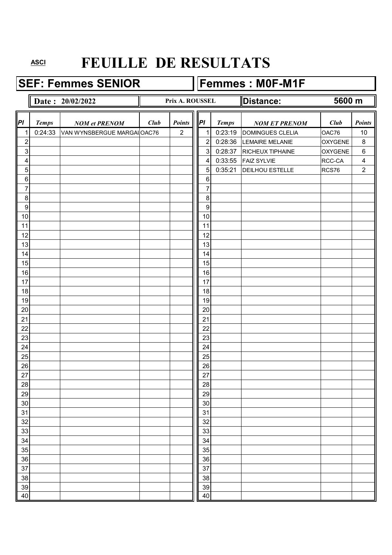**SEF: Femmes SENIOR Femmes : M0F-M1F** 

#### **Date : 20/02/2022 Distance: Distance:** *Pl Temps NOM et PRENOM Club Club Points Pl**Temps NOM ET PRENOM <i>Club Points* 1 0:24:33 VAN WYNSBERGUE MARGALOAC76 2 || 1 0:23:19 DOMINGUES CLELIA | OAC76 | 10 2 2 0:28:36 LEMAIRE MELANIE OXYGENE 8 3 3 0:28:37 RICHEUX TIPHAINE OXYGENE 6 4 4 0:33:55 FAIZ SYLVIE RCC-CA 4 5 5 0:35:21 DEILHOU ESTELLE RCS76 2 6 6 7 7 8 8 9 9 10 10 10 10 10 10 10 10 10 10 10 10 11 10 11 10 11 11 11 12 | | | | | | | | | | | 12 13 | | | | | | | | | | | | 13 14 14 14 15 15 15 16 16 16 17 | | | | | | | | | | | | 17 18 18 18 19 19 20 | | | | | | | | | | | | | 20 21 21 22 | | | | | | | | | | | 22 23 | | | | | | | | | | | | 23 24 24 24 25 | | | | | | | | | | | | | | 25 26 26 27 | | | | | | | | | | | 27 28 28 29 29 30 30 31 31 32 32 33 | | | | | | | | | | | | 33 34 34 35 35 36 36 37 37 37 37 37 38 38 39 39 30 31 32 33 34 35 36 37 38 39 30 31 32 33 34 35 35 35 35 35 35 35 35 35 35 35 35 35 38 38 39 39 40 | 10 | 10 | 10 | 10 | 11 | 11 | 12 | 13 | 140 **5600 m Prix A. ROUSSEL**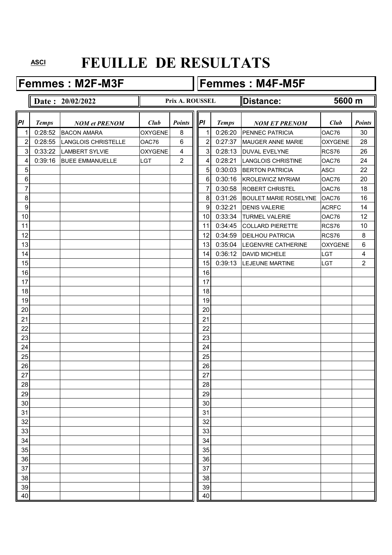### Femmes : M2F-M3F **Femmes : M4F-M5F**

|                  |              | Date: 20/02/2022       |                | Prix A. ROUSSEL          |    |              | <b>Distance:</b>             | 5600 m         |                |
|------------------|--------------|------------------------|----------------|--------------------------|----|--------------|------------------------------|----------------|----------------|
| PI               | <b>Temps</b> | <b>NOM et PRENOM</b>   | Club           | <b>Points</b>            | PI | <b>Temps</b> | <b>NOM ET PRENOM</b>         | Club           | <b>Points</b>  |
| 1                | 0:28:52      | <b>BACON AMARA</b>     | <b>OXYGENE</b> | 8                        | 1  | 0:26:20      | PENNEC PATRICIA              | OAC76          | 30             |
| 2                | 0:28:55      | LANGLOIS CHRISTELLE    | OAC76          | 6                        | 2  | 0:27:37      | <b>MAUGER ANNE MARIE</b>     | <b>OXYGENE</b> | 28             |
| 3                | 0:33:22      | <b>LAMBERT SYLVIE</b>  | <b>OXYGENE</b> | $\overline{\mathcal{A}}$ | 3  | 0:28:13      | <b>DUVAL EVELYNE</b>         | RCS76          | 26             |
| 4                | 0:39:16      | <b>BUEE EMMANUELLE</b> | LGT            | $\overline{2}$           | 4  | 0:28:21      | <b>LANGLOIS CHRISTINE</b>    | OAC76          | 24             |
| 5                |              |                        |                |                          | 5  | 0:30:03      | <b>BERTON PATRICIA</b>       | <b>ASCI</b>    | 22             |
| 6                |              |                        |                |                          | 6  | 0:30:16      | <b>KROLEWICZ MYRIAM</b>      | OAC76          | 20             |
| 7                |              |                        |                |                          | 7  | 0:30:58      | <b>ROBERT CHRISTEL</b>       | OAC76          | 18             |
| 8                |              |                        |                |                          | 8  | 0:31:26      | <b>BOULET MARIE ROSELYNE</b> | OAC76          | 16             |
| $\boldsymbol{9}$ |              |                        |                |                          | 9  | 0:32:21      | <b>DENIS VALERIE</b>         | <b>ACRFC</b>   | 14             |
| 10               |              |                        |                |                          | 10 | 0:33:34      | <b>TURMEL VALERIE</b>        | OAC76          | 12             |
| 11               |              |                        |                |                          | 11 | 0:34:45      | <b>COLLARD PIERETTE</b>      | RCS76          | 10             |
| 12               |              |                        |                |                          | 12 | 0:34:59      | <b>DEILHOU PATRICIA</b>      | RCS76          | 8              |
| 13               |              |                        |                |                          | 13 | 0:35:04      | LEGENVRE CATHERINE           | <b>OXYGENE</b> | 6              |
| 14               |              |                        |                |                          | 14 | 0:36:12      | <b>DAVID MICHELE</b>         | <b>LGT</b>     | 4              |
| 15               |              |                        |                |                          | 15 | 0:39:13      | <b>LEJEUNE MARTINE</b>       | LGT            | $\overline{2}$ |
| 16               |              |                        |                |                          | 16 |              |                              |                |                |
| 17               |              |                        |                |                          | 17 |              |                              |                |                |
| 18               |              |                        |                |                          | 18 |              |                              |                |                |
| 19               |              |                        |                |                          | 19 |              |                              |                |                |
| 20               |              |                        |                |                          | 20 |              |                              |                |                |
| 21               |              |                        |                |                          | 21 |              |                              |                |                |
| 22               |              |                        |                |                          | 22 |              |                              |                |                |
| 23               |              |                        |                |                          | 23 |              |                              |                |                |
| 24               |              |                        |                |                          | 24 |              |                              |                |                |
| 25               |              |                        |                |                          | 25 |              |                              |                |                |
| 26               |              |                        |                |                          | 26 |              |                              |                |                |
| 27               |              |                        |                |                          | 27 |              |                              |                |                |
| 28               |              |                        |                |                          | 28 |              |                              |                |                |
| 29               |              |                        |                |                          | 29 |              |                              |                |                |
| 30               |              |                        |                |                          | 30 |              |                              |                |                |
| 31               |              |                        |                |                          | 31 |              |                              |                |                |
| 32               |              |                        |                |                          | 32 |              |                              |                |                |
| 33               |              |                        |                |                          | 33 |              |                              |                |                |
| 34               |              |                        |                |                          | 34 |              |                              |                |                |
| 35               |              |                        |                |                          | 35 |              |                              |                |                |
| 36               |              |                        |                |                          | 36 |              |                              |                |                |
| 37               |              |                        |                |                          | 37 |              |                              |                |                |
| 38               |              |                        |                |                          | 38 |              |                              |                |                |
| 39               |              |                        |                |                          | 39 |              |                              |                |                |
| 40               |              |                        |                |                          | 40 |              |                              |                |                |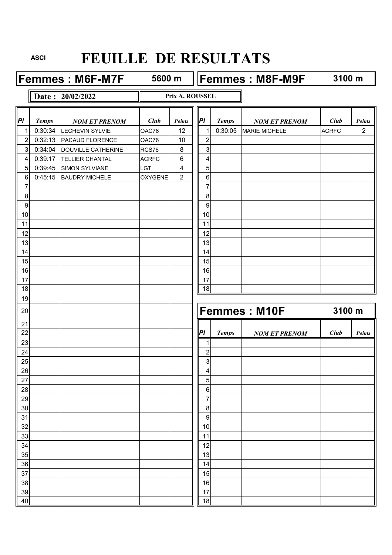**Femmes : M6F-M7F** 5600 m **Femmes : M8F-M9F** 

**5600 m**

 $\overline{\mathbf{1}}$ 

**3100 m**

**Date : 20/02/2022**

**Prix A. ROUSSEL**

| PI               | <b>Temps</b> | <b>NOM ET PRENOM</b>   | <b>Club</b>    | Points         | PI                      | Temps        | <b>NOM ET PRENOM</b> | Club         | <b>Points</b>  |
|------------------|--------------|------------------------|----------------|----------------|-------------------------|--------------|----------------------|--------------|----------------|
| 1                | 0:30:34      | <b>LECHEVIN SYLVIE</b> | OAC76          | 12             | 1                       | 0:30:05      | <b>MARIE MICHELE</b> | <b>ACRFC</b> | $\overline{2}$ |
| $\boldsymbol{2}$ | 0:32:13      | PACAUD FLORENCE        | OAC76          | 10             | $\overline{\mathbf{c}}$ |              |                      |              |                |
| $\overline{3}$   | 0:34:04      | DOUVILLE CATHERINE     | RCS76          | 8              | 3                       |              |                      |              |                |
| 4                | 0:39:17      | TELLIER CHANTAL        | <b>ACRFC</b>   | 6              | 4                       |              |                      |              |                |
| $\sqrt{5}$       | 0:39:45      | <b>SIMON SYLVIANE</b>  | LGT            | 4              | 5                       |              |                      |              |                |
| $\,6\,$          | 0:45:15      | <b>BAUDRY MICHELE</b>  | <b>OXYGENE</b> | $\overline{2}$ | $\,6\,$                 |              |                      |              |                |
| 7                |              |                        |                |                | $\overline{7}$          |              |                      |              |                |
| 8                |              |                        |                |                | 8                       |              |                      |              |                |
| $\boldsymbol{9}$ |              |                        |                |                | 9                       |              |                      |              |                |
| 10               |              |                        |                |                | 10                      |              |                      |              |                |
| 11               |              |                        |                |                | 11                      |              |                      |              |                |
| 12               |              |                        |                |                | 12                      |              |                      |              |                |
| 13               |              |                        |                |                | 13                      |              |                      |              |                |
| 14               |              |                        |                |                | 14                      |              |                      |              |                |
| 15               |              |                        |                |                | 15                      |              |                      |              |                |
| 16               |              |                        |                |                | 16                      |              |                      |              |                |
| 17               |              |                        |                |                | 17                      |              |                      |              |                |
| 18               |              |                        |                |                | 18                      |              |                      |              |                |
| 19               |              |                        |                |                |                         |              |                      |              |                |
| 20               |              |                        |                |                |                         |              | <b>Femmes: M10F</b>  | 3100 m       |                |
| 21               |              |                        |                |                |                         |              |                      |              |                |
| 22               |              |                        |                |                | PI                      | <b>Temps</b> | <b>NOM ET PRENOM</b> | Club         | <b>Points</b>  |
| 23               |              |                        |                |                | $\mathbf 1$             |              |                      |              |                |
| 24               |              |                        |                |                | $\overline{2}$          |              |                      |              |                |
| 25               |              |                        |                |                | 3                       |              |                      |              |                |
| 26               |              |                        |                |                | 4                       |              |                      |              |                |
| 27<br>28         |              |                        |                |                | 5<br>6                  |              |                      |              |                |
| 29               |              |                        |                |                | $\overline{7}$          |              |                      |              |                |
| 30               |              |                        |                |                | 8                       |              |                      |              |                |
| 31               |              |                        |                |                | 9                       |              |                      |              |                |
| 32               |              |                        |                |                | 10                      |              |                      |              |                |
| 33               |              |                        |                |                | 11                      |              |                      |              |                |
| 34               |              |                        |                |                | 12                      |              |                      |              |                |
| 35               |              |                        |                |                | 13                      |              |                      |              |                |
| 36               |              |                        |                |                | 14                      |              |                      |              |                |
| 37               |              |                        |                |                | 15                      |              |                      |              |                |
| 38               |              |                        |                |                | 16                      |              |                      |              |                |
| 39               |              |                        |                |                | 17                      |              |                      |              |                |
| 40               |              |                        |                |                | 18                      |              |                      |              |                |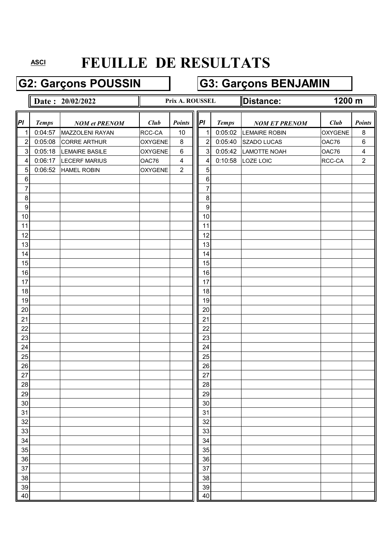# **G2: Garçons POUSSIN G3: Garçons BENJAMIN**

|                  |              | Date: 20/02/2022      |                | Prix A. ROUSSEL |                      |              | Distance:            |                | 1200 m                  |  |
|------------------|--------------|-----------------------|----------------|-----------------|----------------------|--------------|----------------------|----------------|-------------------------|--|
|                  |              |                       |                |                 |                      |              |                      |                |                         |  |
| PI               | <b>Temps</b> | <b>NOM et PRENOM</b>  | Club           | <b>Points</b>   | P                    | <b>Temps</b> | <b>NOM ET PRENOM</b> | Club           | <b>Points</b>           |  |
| 1                | 0:04:57      | MAZZOLENI RAYAN       | RCC-CA         | 10              | 1                    | 0:05:02      | <b>LEMAIRE ROBIN</b> | <b>OXYGENE</b> | 8                       |  |
| $\boldsymbol{2}$ | 0:05:08      | <b>CORRE ARTHUR</b>   | <b>OXYGENE</b> | $\, 8$          | $\overline{2}$       | 0:05:40      | SZADO LUCAS          | OAC76          | $\,6\,$                 |  |
| $\sqrt{3}$       | 0:05:18      | <b>LEMAIRE BASILE</b> | <b>OXYGENE</b> | $\,6$           | $\sqrt{3}$           | 0:05:42      | LAMOTTE NOAH         | OAC76          | $\overline{\mathbf{4}}$ |  |
| 4                | 0:06:17      | <b>LECERF MARIUS</b>  | OAC76          | 4               | 4                    | 0:10:58      | LOZE LOIC            | RCC-CA         | $\overline{2}$          |  |
| $\overline{5}$   | 0:06:52      | HAMEL ROBIN           | <b>OXYGENE</b> | $\overline{2}$  | 5                    |              |                      |                |                         |  |
| $\,6\,$          |              |                       |                |                 | 6                    |              |                      |                |                         |  |
| 7                |              |                       |                |                 | 7                    |              |                      |                |                         |  |
| 8                |              |                       |                |                 | 8                    |              |                      |                |                         |  |
| $\overline{9}$   |              |                       |                |                 | $\boldsymbol{9}$     |              |                      |                |                         |  |
| 10               |              |                       |                |                 | 10                   |              |                      |                |                         |  |
| 11               |              |                       |                |                 | 11                   |              |                      |                |                         |  |
| 12               |              |                       |                |                 | 12                   |              |                      |                |                         |  |
| 13               |              |                       |                |                 | 13                   |              |                      |                |                         |  |
| 14               |              |                       |                |                 | 14                   |              |                      |                |                         |  |
| 15               |              |                       |                |                 | 15                   |              |                      |                |                         |  |
| 16               |              |                       |                |                 | 16                   |              |                      |                |                         |  |
| 17               |              |                       |                |                 | 17                   |              |                      |                |                         |  |
| 18               |              |                       |                |                 | 18                   |              |                      |                |                         |  |
| 19               |              |                       |                |                 | 19                   |              |                      |                |                         |  |
| 20               |              |                       |                |                 | 20                   |              |                      |                |                         |  |
| 21               |              |                       |                |                 | 21                   |              |                      |                |                         |  |
| 22               |              |                       |                |                 | 22                   |              |                      |                |                         |  |
| 23<br>24         |              |                       |                |                 | 23<br>24             |              |                      |                |                         |  |
| 25               |              |                       |                |                 | 25                   |              |                      |                |                         |  |
| 26               |              |                       |                |                 | 26                   |              |                      |                |                         |  |
| 27               |              |                       |                |                 | 27                   |              |                      |                |                         |  |
| 28               |              |                       |                |                 | 28                   |              |                      |                |                         |  |
| 29               |              |                       |                |                 |                      |              |                      |                |                         |  |
| 30               |              |                       |                |                 | $\frac{29}{2}$<br>30 |              |                      |                |                         |  |
| 31               |              |                       |                |                 | 31                   |              |                      |                |                         |  |
| 32               |              |                       |                |                 | 32                   |              |                      |                |                         |  |
| 33               |              |                       |                |                 | 33                   |              |                      |                |                         |  |
| 34               |              |                       |                |                 | 34                   |              |                      |                |                         |  |
| 35               |              |                       |                |                 | 35                   |              |                      |                |                         |  |
| 36               |              |                       |                |                 | 36                   |              |                      |                |                         |  |
| 37               |              |                       |                |                 | 37                   |              |                      |                |                         |  |
| 38               |              |                       |                |                 | 38                   |              |                      |                |                         |  |
| 39               |              |                       |                |                 | 39                   |              |                      |                |                         |  |
| 40               |              |                       |                |                 | 40                   |              |                      |                |                         |  |
|                  |              |                       |                |                 |                      |              |                      |                |                         |  |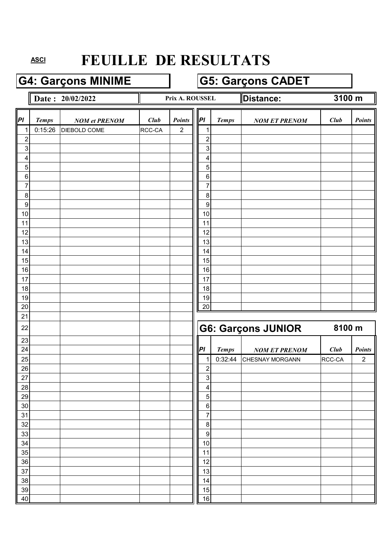### G4: Garçons MINIME **G5: Garçons CADET**

**Date : 20/02/2022 Distance: Prix A. ROUSSEL Distance:** 

**Prix A. ROUSSEL**

**3100 m**

| PI               | <b>Temps</b> | <b>NOM</b> et PRENOM | Club   | Points         | P                      | Temps   | <b>NOM ET PRENOM</b>      | Club   | <b>Points</b>  |
|------------------|--------------|----------------------|--------|----------------|------------------------|---------|---------------------------|--------|----------------|
| $\mathbf{1}$     | 0:15:26      | DIEBOLD COME         | RCC-CA | $\overline{2}$ | 1                      |         |                           |        |                |
| $\overline{c}$   |              |                      |        |                | $\overline{2}$         |         |                           |        |                |
| $\mathbf{3}$     |              |                      |        |                | 3                      |         |                           |        |                |
| 4                |              |                      |        |                | 4                      |         |                           |        |                |
| 5                |              |                      |        |                | 5                      |         |                           |        |                |
| $\,6$            |              |                      |        |                | $\,6$                  |         |                           |        |                |
| $\overline{7}$   |              |                      |        |                | 7                      |         |                           |        |                |
| $\, 8$           |              |                      |        |                | 8                      |         |                           |        |                |
| $\boldsymbol{9}$ |              |                      |        |                | $\boldsymbol{9}$       |         |                           |        |                |
| 10               |              |                      |        |                | 10                     |         |                           |        |                |
| 11<br>12         |              |                      |        |                | 11<br>12               |         |                           |        |                |
| 13               |              |                      |        |                | 13                     |         |                           |        |                |
| 14               |              |                      |        |                | 14                     |         |                           |        |                |
| 15               |              |                      |        |                | 15                     |         |                           |        |                |
| 16               |              |                      |        |                | 16                     |         |                           |        |                |
| 17               |              |                      |        |                | 17                     |         |                           |        |                |
| 18               |              |                      |        |                | 18                     |         |                           |        |                |
| 19               |              |                      |        |                | 19                     |         |                           |        |                |
| 20               |              |                      |        |                | 20                     |         |                           |        |                |
| 21               |              |                      |        |                |                        |         |                           |        |                |
| 22               |              |                      |        |                |                        |         | <b>G6: Garçons JUNIOR</b> | 8100 m |                |
| 23               |              |                      |        |                |                        |         |                           |        |                |
| 24               |              |                      |        |                | PI                     | Temps   | <b>NOM ET PRENOM</b>      | Club   | Points         |
| 25               |              |                      |        |                | 1                      | 0:32:44 | CHESNAY MORGANN           | RCC-CA | $\overline{2}$ |
| 26               |              |                      |        |                | $\overline{2}$         |         |                           |        |                |
| 27               |              |                      |        |                | 3                      |         |                           |        |                |
| 28               |              |                      |        |                | 4                      |         |                           |        |                |
| 29               |              |                      |        |                | 5                      |         |                           |        |                |
| $30\,$           |              |                      |        |                | $\,6\,$                |         |                           |        |                |
| 31               |              |                      |        |                | $\boldsymbol{7}$       |         |                           |        |                |
| 32               |              |                      |        |                | $\,8\,$                |         |                           |        |                |
| 33<br>34         |              |                      |        |                | $\boldsymbol{9}$<br>10 |         |                           |        |                |
| 35               |              |                      |        |                | 11                     |         |                           |        |                |
| 36               |              |                      |        |                | 12                     |         |                           |        |                |
| 37               |              |                      |        |                | 13                     |         |                           |        |                |
| 38               |              |                      |        |                | 14                     |         |                           |        |                |
| 39               |              |                      |        |                | 15                     |         |                           |        |                |
| 40               |              |                      |        |                | 16                     |         |                           |        |                |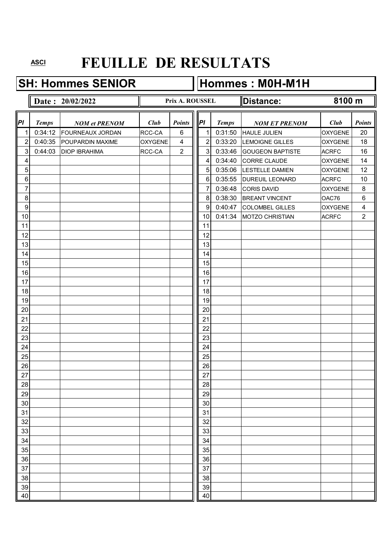**SH: Hommes SENIOR Hommes : M0H-M1H** 

#### **Date : 20/02/2022 Distance: Distance: Distance: Distance: Distance: Distance: Distance: Distance: Distance: Distance: Distance: Distance: Distance: Distance: Distance: Distance: Distanc** *Pl Temps NOM et PRENOM Club Club Points Pl**Temps NOM ET PRENOM <i>Club Points* 1 0:34:12 FOURNEAUX JORDAN RCC-CA 6 || 1 0:31:50 HAULE JULIEN | OXYGENE 20 2 0:40:35 POUPARDIN MAXIME  $\vert$  0xygene 4  $\vert \vert$  2 0:33:20 LEMOIGNE GILLES  $\vert$  0xygene 18 3 0:44:03 DIOP IBRAHIMA RCC-CA 2 || 3 0:33:46 GOUGEON BAPTISTE ACRFC 16 4 1 0:34:40 CORRE CLAUDE OXYGENE 14 5 5 0:35:06 LESTELLE DAMIEN 0XYGENE 12 6 6 0:35:55 DUREUIL LEONARD ACRFC 10 7 7 2 2 2 36:48 CORIS DAVID 2 2 2 36:48 CORIS DAVID 8 8 0:38:30 BREANT VINCENT OAC76 6 9 9 9 9 9 9 0:40:47 COLOMBEL GILLES OXYGENE 4 10 10 10 10:41:34 MOTZO CHRISTIAN ACRFC 2 11 11 11 12 | | | | | | | | | | | 12 13 | | | | | | | | | | | | | 13 14 14 14 15 15 15 16 16 16 17 | | | | | | | | | | | | 17 18 18 18 19 19 20 | | | | | | | | | | | | | 20 21 21 22 | | | | | | | | | | | 22 23 23 24 24 24 25 | | | | | | | | | | | | | | 25 26 26 27 | | | | | | | | | | | 27 28 28 29 29 30 30 31 31 32 32 33 | | | | | | | | | | | | 33 34 34 35 35 36 36 37 37 37 37 37 38 38 39 39 30 31 32 33 34 35 36 37 38 39 30 31 32 33 34 35 35 35 35 35 35 35 35 35 35 35 35 35 38 38 39 39 40 | 10 | 10 | 10 | 10 | 11 | 11 | 12 | 13 | 140 **Prix A. ROUSSEL 8100 m**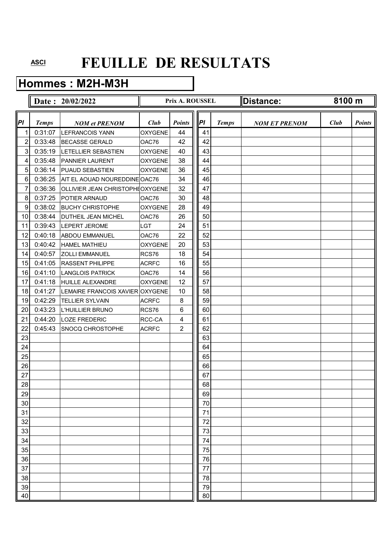### **Hommes : M2H-M3H**

|                |              | Date: 20/02/2022                |                | Prix A. ROUSSEL |    |              | Distance:            | 8100 m |               |
|----------------|--------------|---------------------------------|----------------|-----------------|----|--------------|----------------------|--------|---------------|
| PI             | <b>Temps</b> | <b>NOM et PRENOM</b>            | <b>Club</b>    | <b>Points</b>   | P  | <b>Temps</b> | <b>NOM ET PRENOM</b> | Club   | <b>Points</b> |
| 1              | 0:31:07      | <b>LEFRANCOIS YANN</b>          | <b>OXYGENE</b> | 44              | 41 |              |                      |        |               |
| 2              | 0:33:48      | <b>BECASSE GERALD</b>           | OAC76          | 42              | 42 |              |                      |        |               |
| 3              | 0:35:19      | LETELLIER SEBASTIEN             | <b>OXYGENE</b> | 40              | 43 |              |                      |        |               |
| 4              | 0:35:48      | <b>PANNIER LAURENT</b>          | <b>OXYGENE</b> | 38              | 44 |              |                      |        |               |
| 5 <sup>1</sup> | 0:36:14      | <b>PUAUD SEBASTIEN</b>          | <b>OXYGENE</b> | 36              | 45 |              |                      |        |               |
| 6              | 0:36:25      | AIT EL AOUAD NOUREDDINE OAC76   |                | 34              | 46 |              |                      |        |               |
| 7              | 0:36:36      | OLLIVIER JEAN CHRISTOPHEOXYGENE |                | 32              | 47 |              |                      |        |               |
| 8              | 0:37:25      | <b>POTIER ARNAUD</b>            | OAC76          | 30              | 48 |              |                      |        |               |
| 9              | 0:38:02      | <b>BUCHY CHRISTOPHE</b>         | <b>OXYGENE</b> | 28              | 49 |              |                      |        |               |
| 10             | 0:38:44      | <b>DUTHEIL JEAN MICHEL</b>      | OAC76          | 26              | 50 |              |                      |        |               |
| 11             | 0:39:43      | <b>LEPERT JEROME</b>            | <b>LGT</b>     | 24              | 51 |              |                      |        |               |
| 12             | 0:40:18      | <b>ABDOU EMMANUEL</b>           | OAC76          | 22              | 52 |              |                      |        |               |
| 13             | 0:40:42      | <b>HAMEL MATHIEU</b>            | <b>OXYGENE</b> | 20              | 53 |              |                      |        |               |
| 14             | 0:40:57      | <b>ZOLLI EMMANUEL</b>           | RCS76          | 18              | 54 |              |                      |        |               |
| 15             | 0:41:05      | <b>RASSENT PHILIPPE</b>         | <b>ACRFC</b>   | 16              | 55 |              |                      |        |               |
| 16             | 0:41:10      | <b>LANGLOIS PATRICK</b>         | OAC76          | 14              | 56 |              |                      |        |               |
| 17             | 0:41:18      | <b>HUILLE ALEXANDRE</b>         | <b>OXYGENE</b> | 12              | 57 |              |                      |        |               |
| 18             | 0:41:27      | LEMAIRE FRANCOIS XAVIER OXYGENE |                | 10              | 58 |              |                      |        |               |
| 19             | 0:42:29      | <b>TELLIER SYLVAIN</b>          | <b>ACRFC</b>   | 8               | 59 |              |                      |        |               |
| 20             | 0:43:23      | L'HUILLIER BRUNO                | RCS76          | 6               | 60 |              |                      |        |               |
| 21             | 0:44:20      | <b>LOZE FREDERIC</b>            | RCC-CA         | 4               | 61 |              |                      |        |               |
| 22             | 0:45:43      | <b>SNOCQ CHROSTOPHE</b>         | <b>ACRFC</b>   | $\overline{2}$  | 62 |              |                      |        |               |
| 23             |              |                                 |                |                 | 63 |              |                      |        |               |
| 24             |              |                                 |                |                 | 64 |              |                      |        |               |
| 25             |              |                                 |                |                 | 65 |              |                      |        |               |
| 26             |              |                                 |                |                 | 66 |              |                      |        |               |
| 27             |              |                                 |                |                 | 67 |              |                      |        |               |
| 28             |              |                                 |                |                 | 68 |              |                      |        |               |
| 29             |              |                                 |                |                 | 69 |              |                      |        |               |
| 30             |              |                                 |                |                 | 70 |              |                      |        |               |
| 31             |              |                                 |                |                 | 71 |              |                      |        |               |
| 32             |              |                                 |                |                 | 72 |              |                      |        |               |
| 33             |              |                                 |                |                 | 73 |              |                      |        |               |
| 34             |              |                                 |                |                 | 74 |              |                      |        |               |
| 35             |              |                                 |                |                 | 75 |              |                      |        |               |
| 36             |              |                                 |                |                 | 76 |              |                      |        |               |
| 37             |              |                                 |                |                 | 77 |              |                      |        |               |
| 38             |              |                                 |                |                 | 78 |              |                      |        |               |
| 39             |              |                                 |                |                 | 79 |              |                      |        |               |
| 40             |              |                                 |                |                 | 80 |              |                      |        |               |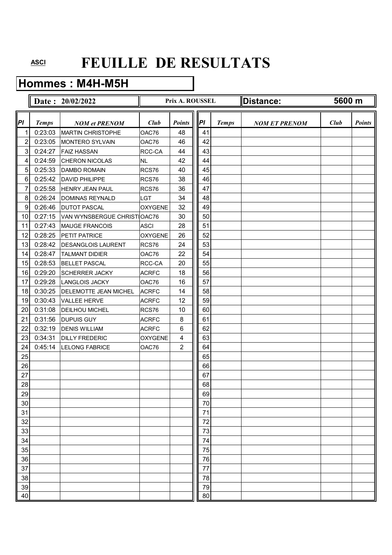### **Hommes : M4H-M5H**

|                |              | Date: 20/02/2022             |                | Prix A. ROUSSEL |            |              | <b>Distance:</b>     | 5600 m |               |
|----------------|--------------|------------------------------|----------------|-----------------|------------|--------------|----------------------|--------|---------------|
| PI             | <b>Temps</b> | <b>NOM et PRENOM</b>         | Club           | <b>Points</b>   | <b>IPI</b> | <b>Temps</b> | <b>NOM ET PRENOM</b> | Club   | <b>Points</b> |
| 1              | 0:23:03      | <b>MARTIN CHRISTOPHE</b>     | OAC76          | 48              | 41         |              |                      |        |               |
| $\overline{c}$ | 0:23:05      | MONTERO SYLVAIN              | OAC76          | 46              | 42         |              |                      |        |               |
| 3              | 0:24:27      | <b>FAIZ HASSAN</b>           | RCC-CA         | 44              | 43         |              |                      |        |               |
| 4              | 0:24:59      | <b>CHERON NICOLAS</b>        | <b>NL</b>      | 42              | 44         |              |                      |        |               |
| 5              | 0:25:33      | <b>DAMBO ROMAIN</b>          | RCS76          | 40              | 45         |              |                      |        |               |
| 6              | 0:25:42      | <b>DAVID PHILIPPE</b>        | RCS76          | 38              | 46         |              |                      |        |               |
| 7              | 0:25:58      | <b>HENRY JEAN PAUL</b>       | RCS76          | 36              | 47         |              |                      |        |               |
| 8              | 0:26:24      | DOMINAS REYNALD              | <b>LGT</b>     | 34              | 48         |              |                      |        |               |
| 9              | 0:26:46      | <b>DUTOT PASCAL</b>          | <b>OXYGENE</b> | 32              | 49         |              |                      |        |               |
| 10             | 0:27:15      | VAN WYNSBERGUE CHRISTIOAC76  |                | 30              | 50         |              |                      |        |               |
| 11             | 0:27:43      | <b>MAUGE FRANCOIS</b>        | <b>ASCI</b>    | 28              | 51         |              |                      |        |               |
| 12             | 0:28:25      | <b>PETIT PATRICE</b>         | <b>OXYGENE</b> | 26              | 52         |              |                      |        |               |
| 13             | 0:28:42      | <b>DESANGLOIS LAURENT</b>    | RCS76          | 24              | 53         |              |                      |        |               |
| 14             | 0:28:47      | <b>TALMANT DIDIER</b>        | OAC76          | 22              | 54         |              |                      |        |               |
| 15             | 0:28:53      | <b>BELLET PASCAL</b>         | RCC-CA         | 20              | 55         |              |                      |        |               |
| 16             | 0:29:20      | <b>SCHERRER JACKY</b>        | <b>ACRFC</b>   | 18              | 56         |              |                      |        |               |
| 17             | 0:29:28      | <b>LANGLOIS JACKY</b>        | OAC76          | 16              | 57         |              |                      |        |               |
| 18             | 0:30:25      | <b>DELEMOTTE JEAN MICHEL</b> | <b>ACRFC</b>   | 14              | 58         |              |                      |        |               |
| 19             | 0:30:43      | <b>VALLEE HERVE</b>          | <b>ACRFC</b>   | 12              | 59         |              |                      |        |               |
| 20             | 0:31:08      | <b>DEILHOU MICHEL</b>        | RCS76          | 10              | 60         |              |                      |        |               |
| 21             | 0:31:56      | <b>DUPUIS GUY</b>            | <b>ACRFC</b>   | 8               | 61         |              |                      |        |               |
| 22             | 0:32:19      | <b>DENIS WILLIAM</b>         | <b>ACRFC</b>   | 6               | 62         |              |                      |        |               |
| 23             | 0:34:31      | <b>DILLY FREDERIC</b>        | <b>OXYGENE</b> | 4               | 63         |              |                      |        |               |
| 24             | 0:45:14      | <b>LELONG FABRICE</b>        | OAC76          | $\overline{2}$  | 64         |              |                      |        |               |
| 25             |              |                              |                |                 | 65         |              |                      |        |               |
| 26             |              |                              |                |                 | 66         |              |                      |        |               |
| 27             |              |                              |                |                 | 67         |              |                      |        |               |
| 28             |              |                              |                |                 | 68         |              |                      |        |               |
| 29             |              |                              |                |                 | 69         |              |                      |        |               |
| 30             |              |                              |                |                 | 70         |              |                      |        |               |
| 31             |              |                              |                |                 | 71         |              |                      |        |               |
| 32             |              |                              |                |                 | 72         |              |                      |        |               |
| 33             |              |                              |                |                 | 73         |              |                      |        |               |
| 34             |              |                              |                |                 | 74         |              |                      |        |               |
| 35             |              |                              |                |                 | 75         |              |                      |        |               |
| 36             |              |                              |                |                 | 76         |              |                      |        |               |
| 37             |              |                              |                |                 | 77         |              |                      |        |               |
| 38             |              |                              |                |                 | 78         |              |                      |        |               |
| 39             |              |                              |                |                 | 79         |              |                      |        |               |
| 40             |              |                              |                |                 | 80         |              |                      |        |               |